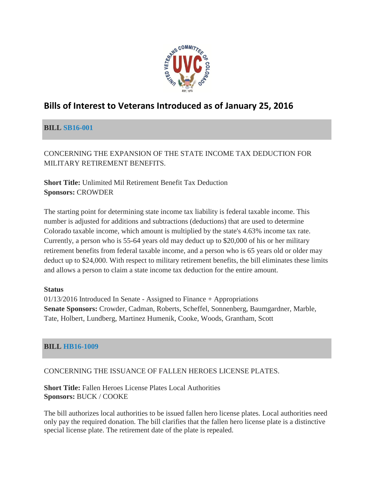

# **Bills of Interest to Veterans Introduced as of January 25, 2016**

### **BILL [SB16-001](http://www.statebillinfo.com/sbi/index.cfm?fuseaction=Bills.View&billnum=SB16-001)**

CONCERNING THE EXPANSION OF THE STATE INCOME TAX DEDUCTION FOR MILITARY RETIREMENT BENEFITS.

**Short Title:** Unlimited Mil Retirement Benefit Tax Deduction **Sponsors:** CROWDER

The starting point for determining state income tax liability is federal taxable income. This number is adjusted for additions and subtractions (deductions) that are used to determine Colorado taxable income, which amount is multiplied by the state's 4.63% income tax rate. Currently, a person who is 55-64 years old may deduct up to \$20,000 of his or her military retirement benefits from federal taxable income, and a person who is 65 years old or older may deduct up to \$24,000. With respect to military retirement benefits, the bill eliminates these limits and allows a person to claim a state income tax deduction for the entire amount.

### **Status**

01/13/2016 Introduced In Senate - Assigned to Finance + Appropriations **Senate Sponsors:** Crowder, Cadman, Roberts, Scheffel, Sonnenberg, Baumgardner, Marble, Tate, Holbert, Lundberg, Martinez Humenik, Cooke, Woods, Grantham, Scott

### **BILL [HB16-1009](http://www.statebillinfo.com/sbi/index.cfm?fuseaction=Bills.View&billnum=HB16-1009)**

### CONCERNING THE ISSUANCE OF FALLEN HEROES LICENSE PLATES.

**Short Title:** Fallen Heroes License Plates Local Authorities **Sponsors:** BUCK / COOKE

The bill authorizes local authorities to be issued fallen hero license plates. Local authorities need only pay the required donation. The bill clarifies that the fallen hero license plate is a distinctive special license plate. The retirement date of the plate is repealed.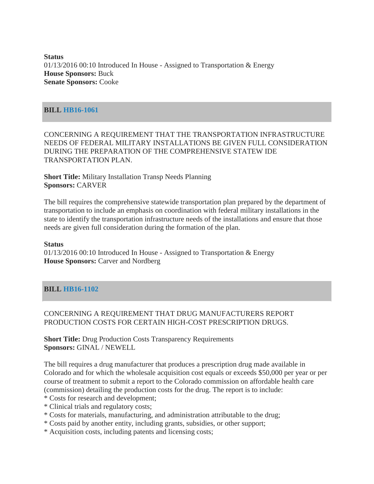**Status**  $01/13/2016$  00:10 Introduced In House - Assigned to Transportation & Energy **House Sponsors:** Buck **Senate Sponsors:** Cooke

#### **BILL [HB16-1061](http://www.statebillinfo.com/sbi/index.cfm?fuseaction=Bills.View&billnum=HB16-1061)**

CONCERNING A REQUIREMENT THAT THE TRANSPORTATION INFRASTRUCTURE NEEDS OF FEDERAL MILITARY INSTALLATIONS BE GIVEN FULL CONSIDERATION DURING THE PREPARATION OF THE COMPREHENSIVE STATEW IDE TRANSPORTATION PLAN.

**Short Title:** Military Installation Transp Needs Planning **Sponsors:** CARVER

The bill requires the comprehensive statewide transportation plan prepared by the department of transportation to include an emphasis on coordination with federal military installations in the state to identify the transportation infrastructure needs of the installations and ensure that those needs are given full consideration during the formation of the plan.

#### **Status**

 $01/13/2016$  00:10 Introduced In House - Assigned to Transportation & Energy **House Sponsors:** Carver and Nordberg

### **BILL [HB16-1102](http://www.statebillinfo.com/sbi/index.cfm?fuseaction=Bills.View&billnum=HB16-1102)**

#### CONCERNING A REQUIREMENT THAT DRUG MANUFACTURERS REPORT PRODUCTION COSTS FOR CERTAIN HIGH-COST PRESCRIPTION DRUGS.

**Short Title:** Drug Production Costs Transparency Requirements **Sponsors:** GINAL / NEWELL

The bill requires a drug manufacturer that produces a prescription drug made available in Colorado and for which the wholesale acquisition cost equals or exceeds \$50,000 per year or per course of treatment to submit a report to the Colorado commission on affordable health care (commission) detailing the production costs for the drug. The report is to include:

- \* Costs for research and development;
- \* Clinical trials and regulatory costs;
- \* Costs for materials, manufacturing, and administration attributable to the drug;
- \* Costs paid by another entity, including grants, subsidies, or other support;
- \* Acquisition costs, including patents and licensing costs;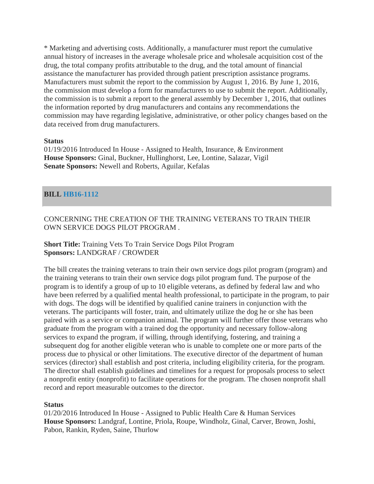\* Marketing and advertising costs. Additionally, a manufacturer must report the cumulative annual history of increases in the average wholesale price and wholesale acquisition cost of the drug, the total company profits attributable to the drug, and the total amount of financial assistance the manufacturer has provided through patient prescription assistance programs. Manufacturers must submit the report to the commission by August 1, 2016. By June 1, 2016, the commission must develop a form for manufacturers to use to submit the report. Additionally, the commission is to submit a report to the general assembly by December 1, 2016, that outlines the information reported by drug manufacturers and contains any recommendations the commission may have regarding legislative, administrative, or other policy changes based on the data received from drug manufacturers.

#### **Status**

01/19/2016 Introduced In House - Assigned to Health, Insurance, & Environment **House Sponsors:** Ginal, Buckner, Hullinghorst, Lee, Lontine, Salazar, Vigil **Senate Sponsors:** Newell and Roberts, Aguilar, Kefalas

#### **BILL [HB16-1112](http://www.statebillinfo.com/sbi/index.cfm?fuseaction=Bills.View&billnum=HB16-1112)**

### CONCERNING THE CREATION OF THE TRAINING VETERANS TO TRAIN THEIR OWN SERVICE DOGS PILOT PROGRAM .

### **Short Title:** Training Vets To Train Service Dogs Pilot Program **Sponsors:** LANDGRAF / CROWDER

The bill creates the training veterans to train their own service dogs pilot program (program) and the training veterans to train their own service dogs pilot program fund. The purpose of the program is to identify a group of up to 10 eligible veterans, as defined by federal law and who have been referred by a qualified mental health professional, to participate in the program, to pair with dogs. The dogs will be identified by qualified canine trainers in conjunction with the veterans. The participants will foster, train, and ultimately utilize the dog he or she has been paired with as a service or companion animal. The program will further offer those veterans who graduate from the program with a trained dog the opportunity and necessary follow-along services to expand the program, if willing, through identifying, fostering, and training a subsequent dog for another eligible veteran who is unable to complete one or more parts of the process due to physical or other limitations. The executive director of the department of human services (director) shall establish and post criteria, including eligibility criteria, for the program. The director shall establish guidelines and timelines for a request for proposals process to select a nonprofit entity (nonprofit) to facilitate operations for the program. The chosen nonprofit shall record and report measurable outcomes to the director.

#### **Status**

01/20/2016 Introduced In House - Assigned to Public Health Care & Human Services **House Sponsors:** Landgraf, Lontine, Priola, Roupe, Windholz, Ginal, Carver, Brown, Joshi, Pabon, Rankin, Ryden, Saine, Thurlow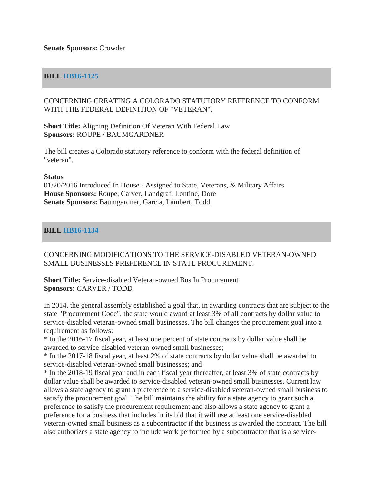#### **BILL [HB16-1125](http://www.statebillinfo.com/sbi/index.cfm?fuseaction=Bills.View&billnum=HB16-1125)**

#### CONCERNING CREATING A COLORADO STATUTORY REFERENCE TO CONFORM WITH THE FEDERAL DEFINITION OF "VETERAN".

**Short Title:** Aligning Definition Of Veteran With Federal Law **Sponsors:** ROUPE / BAUMGARDNER

The bill creates a Colorado statutory reference to conform with the federal definition of "veteran".

#### **Status**

01/20/2016 Introduced In House - Assigned to State, Veterans, & Military Affairs **House Sponsors:** Roupe, Carver, Landgraf, Lontine, Dore **Senate Sponsors:** Baumgardner, Garcia, Lambert, Todd

#### **BILL [HB16-1134](http://www.statebillinfo.com/sbi/index.cfm?fuseaction=Bills.View&billnum=HB16-1134)**

#### CONCERNING MODIFICATIONS TO THE SERVICE-DISABLED VETERAN-OWNED SMALL BUSINESSES PREFERENCE IN STATE PROCUREMENT.

**Short Title:** Service-disabled Veteran-owned Bus In Procurement **Sponsors:** CARVER / TODD

In 2014, the general assembly established a goal that, in awarding contracts that are subject to the state "Procurement Code", the state would award at least 3% of all contracts by dollar value to service-disabled veteran-owned small businesses. The bill changes the procurement goal into a requirement as follows:

\* In the 2016-17 fiscal year, at least one percent of state contracts by dollar value shall be awarded to service-disabled veteran-owned small businesses;

\* In the 2017-18 fiscal year, at least 2% of state contracts by dollar value shall be awarded to service-disabled veteran-owned small businesses; and

\* In the 2018-19 fiscal year and in each fiscal year thereafter, at least 3% of state contracts by dollar value shall be awarded to service-disabled veteran-owned small businesses. Current law allows a state agency to grant a preference to a service-disabled veteran-owned small business to satisfy the procurement goal. The bill maintains the ability for a state agency to grant such a preference to satisfy the procurement requirement and also allows a state agency to grant a preference for a business that includes in its bid that it will use at least one service-disabled veteran-owned small business as a subcontractor if the business is awarded the contract. The bill also authorizes a state agency to include work performed by a subcontractor that is a service